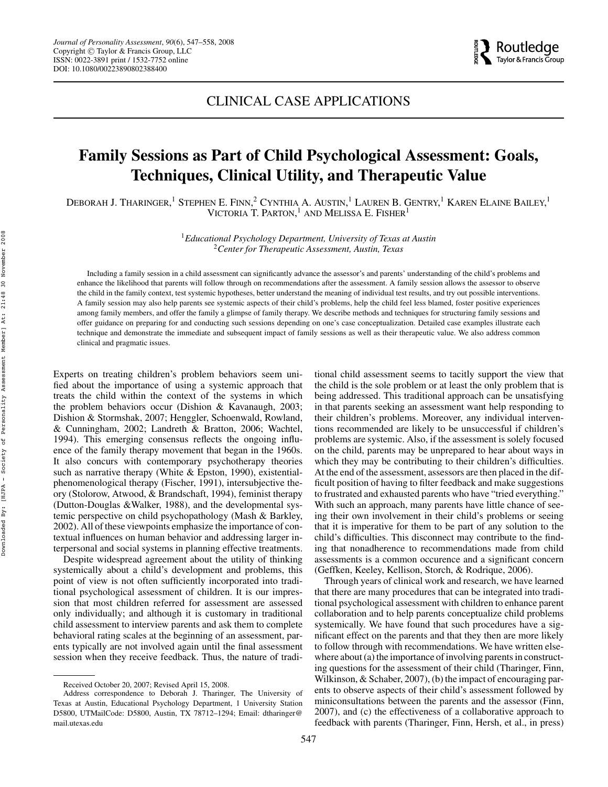# CLINICAL CASE APPLICATIONS

# **Family Sessions as Part of Child Psychological Assessment: Goals, Techniques, Clinical Utility, and Therapeutic Value**

DEBORAH J. THARINGER, $^1$  Stephen E. Finn, $^2$  Cynthia A. Austin, $^1$  Lauren B. Gentry, $^1$  Karen Elaine Bailey, $^1$ VICTORIA T. PARTON,<sup>1</sup> AND MELISSA E. FISHER<sup>1</sup>

> <sup>1</sup>*Educational Psychology Department, University of Texas at Austin* <sup>2</sup>*Center for Therapeutic Assessment, Austin, Texas*

Including a family session in a child assessment can significantly advance the assessor's and parents' understanding of the child's problems and enhance the likelihood that parents will follow through on recommendations after the assessment. A family session allows the assessor to observe the child in the family context, test systemic hypotheses, better understand the meaning of individual test results, and try out possible interventions. A family session may also help parents see systemic aspects of their child's problems, help the child feel less blamed, foster positive experiences among family members, and offer the family a glimpse of family therapy. We describe methods and techniques for structuring family sessions and offer guidance on preparing for and conducting such sessions depending on one's case conceptualization. Detailed case examples illustrate each technique and demonstrate the immediate and subsequent impact of family sessions as well as their therapeutic value. We also address common clinical and pragmatic issues.

Experts on treating children's problem behaviors seem unified about the importance of using a systemic approach that treats the child within the context of the systems in which the problem behaviors occur (Dishion & Kavanaugh, 2003; Dishion & Stormshak, 2007; Henggler, Schoenwald, Rowland, & Cunningham, 2002; Landreth & Bratton, 2006; Wachtel, 1994). This emerging consensus reflects the ongoing influence of the family therapy movement that began in the 1960s. It also concurs with contemporary psychotherapy theories such as narrative therapy (White & Epston, 1990), existentialphenomenological therapy (Fischer, 1991), intersubjective theory (Stolorow, Atwood, & Brandschaft, 1994), feminist therapy (Dutton-Douglas &Walker, 1988), and the developmental systemic perspective on child psychopathology (Mash & Barkley, 2002). All of these viewpoints emphasize the importance of contextual influences on human behavior and addressing larger interpersonal and social systems in planning effective treatments.

Despite widespread agreement about the utility of thinking systemically about a child's development and problems, this point of view is not often sufficiently incorporated into traditional psychological assessment of children. It is our impression that most children referred for assessment are assessed only individually; and although it is customary in traditional child assessment to interview parents and ask them to complete behavioral rating scales at the beginning of an assessment, parents typically are not involved again until the final assessment session when they receive feedback. Thus, the nature of tradibeing addressed. This traditional approach can be unsatisfying in that parents seeking an assessment want help responding to their children's problems. Moreover, any individual interventions recommended are likely to be unsuccessful if children's problems are systemic. Also, if the assessment is solely focused on the child, parents may be unprepared to hear about ways in which they may be contributing to their children's difficulties. At the end of the assessment, assessors are then placed in the difficult position of having to filter feedback and make suggestions to frustrated and exhausted parents who have "tried everything." With such an approach, many parents have little chance of seeing their own involvement in their child's problems or seeing that it is imperative for them to be part of any solution to the child's difficulties. This disconnect may contribute to the finding that nonadherence to recommendations made from child assessments is a common occurence and a significant concern (Geffken, Keeley, Kellison, Storch, & Rodrique, 2006). Through years of clinical work and research, we have learned

tional child assessment seems to tacitly support the view that the child is the sole problem or at least the only problem that is

that there are many procedures that can be integrated into traditional psychological assessment with children to enhance parent collaboration and to help parents conceptualize child problems systemically. We have found that such procedures have a significant effect on the parents and that they then are more likely to follow through with recommendations. We have written elsewhere about (a) the importance of involving parents in constructing questions for the assessment of their child (Tharinger, Finn, Wilkinson, & Schaber, 2007), (b) the impact of encouraging parents to observe aspects of their child's assessment followed by miniconsultations between the parents and the assessor (Finn, 2007), and (c) the effectiveness of a collaborative approach to feedback with parents (Tharinger, Finn, Hersh, et al., in press)

Received October 20, 2007; Revised April 15, 2008.

Address correspondence to Deborah J. Tharinger, The University of Texas at Austin, Educational Psychology Department, 1 University Station D5800, UTMailCode: D5800, Austin, TX 78712–1294; Email: dtharinger@ mail.utexas.edu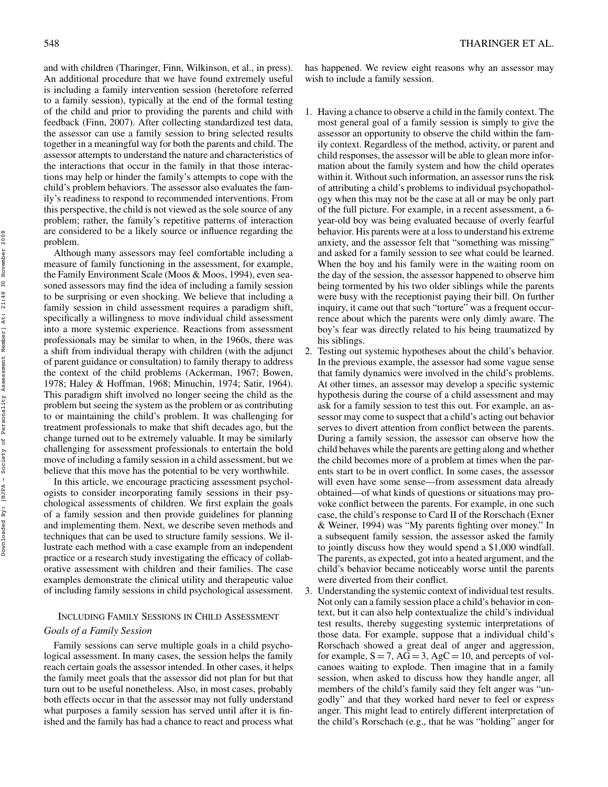and with children (Tharinger, Finn, Wilkinson, et al., in press). An additional procedure that we have found extremely useful is including a family intervention session (heretofore referred to a family session), typically at the end of the formal testing of the child and prior to providing the parents and child with feedback (Finn, 2007). After collecting standardized test data, the assessor can use a family session to bring selected results together in a meaningful way for both the parents and child. The assessor attempts to understand the nature and characteristics of the interactions that occur in the family in that those interactions may help or hinder the family's attempts to cope with the child's problem behaviors. The assessor also evaluates the family's readiness to respond to recommended interventions. From this perspective, the child is not viewed as the sole source of any problem; rather, the family's repetitive patterns of interaction are considered to be a likely source or influence regarding the problem.

Although many assessors may feel comfortable including a measure of family functioning in the assessment, for example, the Family Environment Scale (Moos & Moos, 1994), even seasoned assessors may find the idea of including a family session to be surprising or even shocking. We believe that including a family session in child assessment requires a paradigm shift, specifically a willingness to move individual child assessment into a more systemic experience. Reactions from assessment professionals may be similar to when, in the 1960s, there was a shift from individual therapy with children (with the adjunct of parent guidance or consultation) to family therapy to address the context of the child problems (Ackerman, 1967; Bowen, 1978; Haley & Hoffman, 1968; Minuchin, 1974; Satir, 1964). This paradigm shift involved no longer seeing the child as the problem but seeing the system as the problem or as contributing to or maintaining the child's problem. It was challenging for treatment professionals to make that shift decades ago, but the change turned out to be extremely valuable. It may be similarly challenging for assessment professionals to entertain the bold move of including a family session in a child assessment, but we believe that this move has the potential to be very worthwhile.

In this article, we encourage practicing assessment psychologists to consider incorporating family sessions in their psychological assessments of children. We first explain the goals of a family session and then provide guidelines for planning and implementing them. Next, we describe seven methods and techniques that can be used to structure family sessions. We illustrate each method with a case example from an independent practice or a research study investigating the efficacy of collaborative assessment with children and their families. The case examples demonstrate the clinical utility and therapeutic value of including family sessions in child psychological assessment.

# INCLUDING FAMILY SESSIONS IN CHILD ASSESSMENT

# *Goals of a Family Session*

Family sessions can serve multiple goals in a child psychological assessment. In many cases, the session helps the family reach certain goals the assessor intended. In other cases, it helps the family meet goals that the assessor did not plan for but that turn out to be useful nonetheless. Also, in most cases, probably both effects occur in that the assessor may not fully understand what purposes a family session has served until after it is finished and the family has had a chance to react and process what has happened. We review eight reasons why an assessor may wish to include a family session.

- 1. Having a chance to observe a child in the family context. The most general goal of a family session is simply to give the assessor an opportunity to observe the child within the family context. Regardless of the method, activity, or parent and child responses, the assessor will be able to glean more information about the family system and how the child operates within it. Without such information, an assessor runs the risk of attributing a child's problems to individual psychopathology when this may not be the case at all or may be only part of the full picture. For example, in a recent assessment, a 6 year-old boy was being evaluated because of overly fearful behavior. His parents were at a loss to understand his extreme anxiety, and the assessor felt that "something was missing" and asked for a family session to see what could be learned. When the boy and his family were in the waiting room on the day of the session, the assessor happened to observe him being tormented by his two older siblings while the parents were busy with the receptionist paying their bill. On further inquiry, it came out that such "torture" was a frequent occurrence about which the parents were only dimly aware. The boy's fear was directly related to his being traumatized by his siblings.
- 2. Testing out systemic hypotheses about the child's behavior. In the previous example, the assessor had some vague sense that family dynamics were involved in the child's problems. At other times, an assessor may develop a specific systemic hypothesis during the course of a child assessment and may ask for a family session to test this out. For example, an assessor may come to suspect that a child's acting out behavior serves to divert attention from conflict between the parents. During a family session, the assessor can observe how the child behaves while the parents are getting along and whether the child becomes more of a problem at times when the parents start to be in overt conflict. In some cases, the assessor will even have some sense—from assessment data already obtained—of what kinds of questions or situations may provoke conflict between the parents. For example, in one such case, the child's response to Card II of the Rorschach (Exner & Weiner, 1994) was "My parents fighting over money." In a subsequent family session, the assessor asked the family to jointly discuss how they would spend a \$1,000 windfall. The parents, as expected, got into a heated argument, and the child's behavior became noticeably worse until the parents were diverted from their conflict.
- 3. Understanding the systemic context of individual test results. Not only can a family session place a child's behavior in context, but it can also help contextualize the child's individual test results, thereby suggesting systemic interpretations of those data. For example, suppose that a individual child's Rorschach showed a great deal of anger and aggression, for example,  $S = 7$ ,  $AG = 3$ ,  $AgC = 10$ , and percepts of volcanoes waiting to explode. Then imagine that in a family session, when asked to discuss how they handle anger, all members of the child's family said they felt anger was "ungodly" and that they worked hard never to feel or express anger. This might lead to entirely different interpretation of the child's Rorschach (e.g., that he was "holding" anger for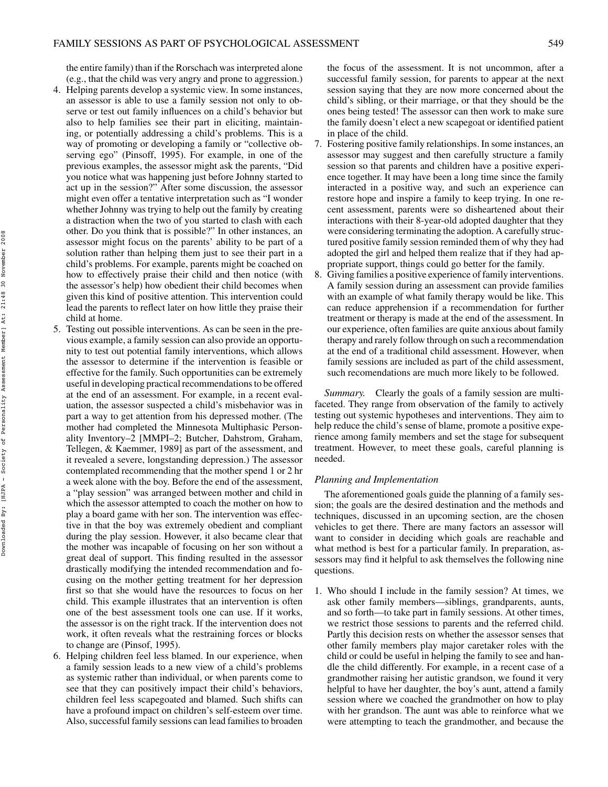the entire family) than if the Rorschach was interpreted alone (e.g., that the child was very angry and prone to aggression.)

- 4. Helping parents develop a systemic view. In some instances, an assessor is able to use a family session not only to observe or test out family influences on a child's behavior but also to help families see their part in eliciting, maintaining, or potentially addressing a child's problems. This is a way of promoting or developing a family or "collective observing ego" (Pinsoff, 1995). For example, in one of the previous examples, the assessor might ask the parents, "Did you notice what was happening just before Johnny started to act up in the session?" After some discussion, the assessor might even offer a tentative interpretation such as "I wonder whether Johnny was trying to help out the family by creating a distraction when the two of you started to clash with each other. Do you think that is possible?" In other instances, an assessor might focus on the parents' ability to be part of a solution rather than helping them just to see their part in a child's problems. For example, parents might be coached on how to effectively praise their child and then notice (with the assessor's help) how obedient their child becomes when given this kind of positive attention. This intervention could lead the parents to reflect later on how little they praise their child at home.
- 5. Testing out possible interventions. As can be seen in the previous example, a family session can also provide an opportunity to test out potential family interventions, which allows the assessor to determine if the intervention is feasible or effective for the family. Such opportunities can be extremely useful in developing practical recommendations to be offered at the end of an assessment. For example, in a recent evaluation, the assessor suspected a child's misbehavior was in part a way to get attention from his depressed mother. (The mother had completed the Minnesota Multiphasic Personality Inventory–2 [MMPI–2; Butcher, Dahstrom, Graham, Tellegen, & Kaemmer, 1989] as part of the assessment, and it revealed a severe, longstanding depression.) The assessor contemplated recommending that the mother spend 1 or 2 hr a week alone with the boy. Before the end of the assessment, a "play session" was arranged between mother and child in which the assessor attempted to coach the mother on how to play a board game with her son. The intervention was effective in that the boy was extremely obedient and compliant during the play session. However, it also became clear that the mother was incapable of focusing on her son without a great deal of support. This finding resulted in the assessor drastically modifying the intended recommendation and focusing on the mother getting treatment for her depression first so that she would have the resources to focus on her child. This example illustrates that an intervention is often one of the best assessment tools one can use. If it works, the assessor is on the right track. If the intervention does not work, it often reveals what the restraining forces or blocks to change are (Pinsof, 1995).
- 6. Helping children feel less blamed. In our experience, when a family session leads to a new view of a child's problems as systemic rather than individual, or when parents come to see that they can positively impact their child's behaviors, children feel less scapegoated and blamed. Such shifts can have a profound impact on children's self-esteem over time. Also, successful family sessions can lead families to broaden

the focus of the assessment. It is not uncommon, after a successful family session, for parents to appear at the next session saying that they are now more concerned about the child's sibling, or their marriage, or that they should be the ones being tested! The assessor can then work to make sure the family doesn't elect a new scapegoat or identified patient in place of the child.

- 7. Fostering positive family relationships. In some instances, an assessor may suggest and then carefully structure a family session so that parents and children have a positive experience together. It may have been a long time since the family interacted in a positive way, and such an experience can restore hope and inspire a family to keep trying. In one recent assessment, parents were so disheartened about their interactions with their 8-year-old adopted daughter that they were considering terminating the adoption. A carefully structured positive family session reminded them of why they had adopted the girl and helped them realize that if they had appropriate support, things could go better for the family.
- 8. Giving families a positive experience of family interventions. A family session during an assessment can provide families with an example of what family therapy would be like. This can reduce apprehension if a recommendation for further treatment or therapy is made at the end of the assessment. In our experience, often families are quite anxious about family therapy and rarely follow through on such a recommendation at the end of a traditional child assessment. However, when family sessions are included as part of the child assessment, such recomendations are much more likely to be followed.

*Summary.* Clearly the goals of a family session are multifaceted. They range from observation of the family to actively testing out systemic hypotheses and interventions. They aim to help reduce the child's sense of blame, promote a positive experience among family members and set the stage for subsequent treatment. However, to meet these goals, careful planning is needed.

# *Planning and Implementation*

The aforementioned goals guide the planning of a family session; the goals are the desired destination and the methods and techniques, discussed in an upcoming section, are the chosen vehicles to get there. There are many factors an assessor will want to consider in deciding which goals are reachable and what method is best for a particular family. In preparation, assessors may find it helpful to ask themselves the following nine questions.

1. Who should I include in the family session? At times, we ask other family members—siblings, grandparents, aunts, and so forth—to take part in family sessions. At other times, we restrict those sessions to parents and the referred child. Partly this decision rests on whether the assessor senses that other family members play major caretaker roles with the child or could be useful in helping the family to see and handle the child differently. For example, in a recent case of a grandmother raising her autistic grandson, we found it very helpful to have her daughter, the boy's aunt, attend a family session where we coached the grandmother on how to play with her grandson. The aunt was able to reinforce what we were attempting to teach the grandmother, and because the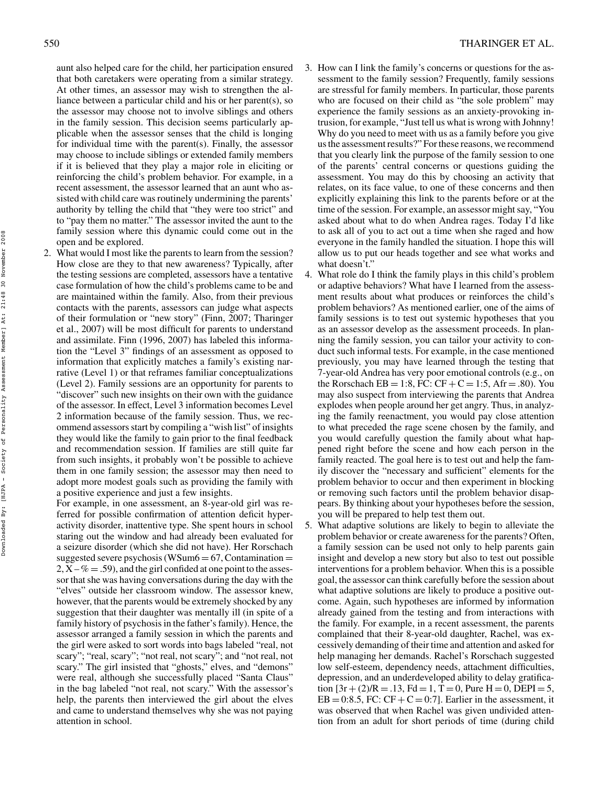aunt also helped care for the child, her participation ensured that both caretakers were operating from a similar strategy. At other times, an assessor may wish to strengthen the alliance between a particular child and his or her parent(s), so the assessor may choose not to involve siblings and others in the family session. This decision seems particularly applicable when the assessor senses that the child is longing for individual time with the parent(s). Finally, the assessor may choose to include siblings or extended family members if it is believed that they play a major role in eliciting or reinforcing the child's problem behavior. For example, in a recent assessment, the assessor learned that an aunt who assisted with child care was routinely undermining the parents' authority by telling the child that "they were too strict" and to "pay them no matter." The assessor invited the aunt to the family session where this dynamic could come out in the open and be explored.

2. What would I most like the parents to learn from the session? How close are they to that new awareness? Typically, after the testing sessions are completed, assessors have a tentative case formulation of how the child's problems came to be and are maintained within the family. Also, from their previous contacts with the parents, assessors can judge what aspects of their formulation or "new story" (Finn, 2007; Tharinger et al., 2007) will be most difficult for parents to understand and assimilate. Finn (1996, 2007) has labeled this information the "Level 3" findings of an assessment as opposed to information that explicitly matches a family's existing narrative (Level 1) or that reframes familiar conceptualizations (Level 2). Family sessions are an opportunity for parents to "discover" such new insights on their own with the guidance of the assessor. In effect, Level 3 information becomes Level 2 information because of the family session. Thus, we recommend assessors start by compiling a "wish list" of insights they would like the family to gain prior to the final feedback and recommendation session. If families are still quite far from such insights, it probably won't be possible to achieve them in one family session; the assessor may then need to adopt more modest goals such as providing the family with a positive experience and just a few insights.

For example, in one assessment, an 8-year-old girl was referred for possible confirmation of attention deficit hyperactivity disorder, inattentive type. She spent hours in school staring out the window and had already been evaluated for a seizure disorder (which she did not have). Her Rorschach suggested severe psychosis (WSum $6 = 67$ , Contamination =  $2, X - \% = .59$ , and the girl confided at one point to the assessor that she was having conversations during the day with the "elves" outside her classroom window. The assessor knew, however, that the parents would be extremely shocked by any suggestion that their daughter was mentally ill (in spite of a family history of psychosis in the father's family). Hence, the assessor arranged a family session in which the parents and the girl were asked to sort words into bags labeled "real, not scary"; "real, scary"; "not real, not scary"; and "not real, not scary." The girl insisted that "ghosts," elves, and "demons" were real, although she successfully placed "Santa Claus" in the bag labeled "not real, not scary." With the assessor's help, the parents then interviewed the girl about the elves and came to understand themselves why she was not paying attention in school.

- 3. How can I link the family's concerns or questions for the assessment to the family session? Frequently, family sessions are stressful for family members. In particular, those parents who are focused on their child as "the sole problem" may experience the family sessions as an anxiety-provoking intrusion, for example, "Just tell us what is wrong with Johnny! Why do you need to meet with us as a family before you give us the assessment results?" For these reasons, we recommend that you clearly link the purpose of the family session to one of the parents' central concerns or questions guiding the assessment. You may do this by choosing an activity that relates, on its face value, to one of these concerns and then explicitly explaining this link to the parents before or at the time of the session. For example, an assessor might say, "You asked about what to do when Andrea rages. Today I'd like to ask all of you to act out a time when she raged and how everyone in the family handled the situation. I hope this will allow us to put our heads together and see what works and what doesn't."
- 4. What role do I think the family plays in this child's problem or adaptive behaviors? What have I learned from the assessment results about what produces or reinforces the child's problem behaviors? As mentioned earlier, one of the aims of family sessions is to test out systemic hypotheses that you as an assessor develop as the assessment proceeds. In planning the family session, you can tailor your activity to conduct such informal tests. For example, in the case mentioned previously, you may have learned through the testing that 7-year-old Andrea has very poor emotional controls (e.g., on the Rorschach EB = 1:8, FC:  $CF + C = 1:5$ , Afr = .80). You may also suspect from interviewing the parents that Andrea explodes when people around her get angry. Thus, in analyzing the family reenactment, you would pay close attention to what preceded the rage scene chosen by the family, and you would carefully question the family about what happened right before the scene and how each person in the family reacted. The goal here is to test out and help the family discover the "necessary and sufficient" elements for the problem behavior to occur and then experiment in blocking or removing such factors until the problem behavior disappears. By thinking about your hypotheses before the session, you will be prepared to help test them out.
- 5. What adaptive solutions are likely to begin to alleviate the problem behavior or create awareness for the parents? Often, a family session can be used not only to help parents gain insight and develop a new story but also to test out possible interventions for a problem behavior. When this is a possible goal, the assessor can think carefully before the session about what adaptive solutions are likely to produce a positive outcome. Again, such hypotheses are informed by information already gained from the testing and from interactions with the family. For example, in a recent assessment, the parents complained that their 8-year-old daughter, Rachel, was excessively demanding of their time and attention and asked for help managing her demands. Rachel's Rorschach suggested low self-esteem, dependency needs, attachment difficulties, depression, and an underdeveloped ability to delay gratification  $[3r + (2)/R = .13$ ,  $Fd = 1$ ,  $T = 0$ , Pure  $H = 0$ , DEPI = 5,  $EB = 0.8.5$ , FC: CF + C = 0.7]. Earlier in the assessment, it was observed that when Rachel was given undivided attention from an adult for short periods of time (during child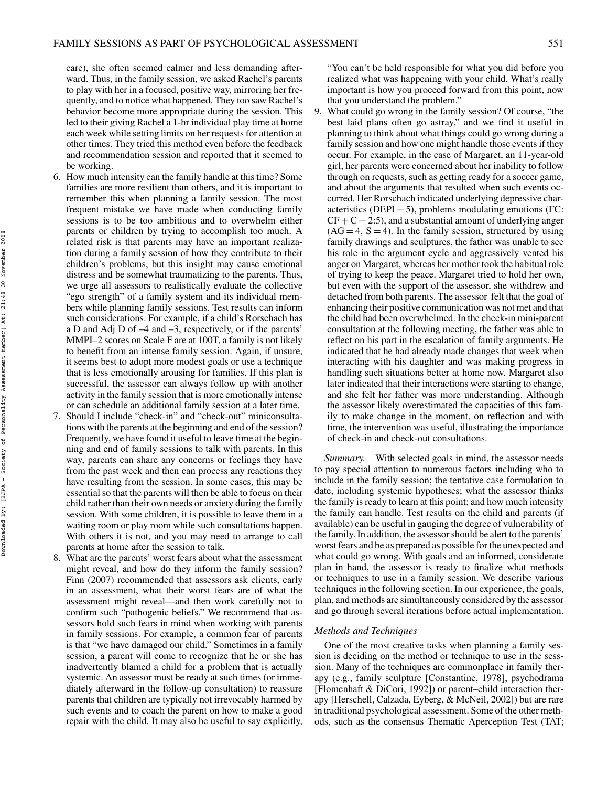care), she often seemed calmer and less demanding afterward. Thus, in the family session, we asked Rachel's parents to play with her in a focused, positive way, mirroring her frequently, and to notice what happened. They too saw Rachel's behavior become more appropriate during the session. This led to their giving Rachel a 1-hr individual play time at home each week while setting limits on her requests for attention at other times. They tried this method even before the feedback and recommendation session and reported that it seemed to be working.

- 6. How much intensity can the family handle at this time? Some families are more resilient than others, and it is important to remember this when planning a family session. The most frequent mistake we have made when conducting family sessions is to be too ambitious and to overwhelm either parents or children by trying to accomplish too much. A related risk is that parents may have an important realization during a family session of how they contribute to their children's problems, but this insight may cause emotional distress and be somewhat traumatizing to the parents. Thus, we urge all assessors to realistically evaluate the collective "ego strength" of a family system and its individual members while planning family sessions. Test results can inform such considerations. For example, if a child's Rorschach has a D and Adj D of –4 and –3, respectively, or if the parents' MMPI–2 scores on Scale F are at 100T, a family is not likely to benefit from an intense family session. Again, if unsure, it seems best to adopt more modest goals or use a technique that is less emotionally arousing for families. If this plan is successful, the assessor can always follow up with another activity in the family session that is more emotionally intense or can schedule an additional family session at a later time.
- 7. Should I include "check-in" and "check-out" miniconsultations with the parents at the beginning and end of the session? Frequently, we have found it useful to leave time at the beginning and end of family sessions to talk with parents. In this way, parents can share any concerns or feelings they have from the past week and then can process any reactions they have resulting from the session. In some cases, this may be essential so that the parents will then be able to focus on their child rather than their own needs or anxiety during the family session. With some children, it is possible to leave them in a waiting room or play room while such consultations happen. With others it is not, and you may need to arrange to call parents at home after the session to talk.
- 8. What are the parents' worst fears about what the assessment might reveal, and how do they inform the family session? Finn (2007) recommended that assessors ask clients, early in an assessment, what their worst fears are of what the assessment might reveal—and then work carefully not to confirm such "pathogenic beliefs." We recommend that assessors hold such fears in mind when working with parents in family sessions. For example, a common fear of parents is that "we have damaged our child." Sometimes in a family session, a parent will come to recognize that he or she has inadvertently blamed a child for a problem that is actually systemic. An assessor must be ready at such times (or immediately afterward in the follow-up consultation) to reassure parents that children are typically not irrevocably harmed by such events and to coach the parent on how to make a good repair with the child. It may also be useful to say explicitly,

"You can't be held responsible for what you did before you realized what was happening with your child. What's really important is how you proceed forward from this point, now that you understand the problem."

9. What could go wrong in the family session? Of course, "the best laid plans often go astray," and we find it useful in planning to think about what things could go wrong during a family session and how one might handle those events if they occur. For example, in the case of Margaret, an 11-year-old girl, her parents were concerned about her inability to follow through on requests, such as getting ready for a soccer game, and about the arguments that resulted when such events occurred. Her Rorschach indicated underlying depressive characteristics ( $DEPI = 5$ ), problems modulating emotions (FC:  $CF + C = 2:5$ , and a substantial amount of underlying anger  $(AG = 4, S = 4)$ . In the family session, structured by using family drawings and sculptures, the father was unable to see his role in the argument cycle and aggressively vented his anger on Margaret, whereas her mother took the habitual role of trying to keep the peace. Margaret tried to hold her own, but even with the support of the assessor, she withdrew and detached from both parents. The assessor felt that the goal of enhancing their positive communication was not met and that the child had been overwhelmed. In the check-in mini-parent consultation at the following meeting, the father was able to reflect on his part in the escalation of family arguments. He indicated that he had already made changes that week when interacting with his daughter and was making progress in handling such situations better at home now. Margaret also later indicated that their interactions were starting to change, and she felt her father was more understanding. Although the assessor likely overestimated the capacities of this family to make change in the moment, on reflection and with time, the intervention was useful, illustrating the importance of check-in and check-out consultations.

*Summary.* With selected goals in mind, the assessor needs to pay special attention to numerous factors including who to include in the family session; the tentative case formulation to date, including systemic hypotheses; what the assessor thinks the family is ready to learn at this point; and how much intensity the family can handle. Test results on the child and parents (if available) can be useful in gauging the degree of vulnerability of the family. In addition, the assessor should be alert to the parents' worst fears and be as prepared as possible for the unexpected and what could go wrong. With goals and an informed, considerate plan in hand, the assessor is ready to finalize what methods or techniques to use in a family session. We describe various techniques in the following section. In our experience, the goals, plan, and methods are simultaneously considered by the assessor and go through several iterations before actual implementation.

#### *Methods and Techniques*

One of the most creative tasks when planning a family session is deciding on the method or technique to use in the sesssion. Many of the techniques are commonplace in family therapy (e.g., family sculpture [Constantine, 1978], psychodrama [Flomenhaft & DiCori, 1992]) or parent–child interaction therapy [Herschell, Calzada, Eyberg, & McNeil, 2002]) but are rare in traditional psychological assessment. Some of the other methods, such as the consensus Thematic Aperception Test (TAT;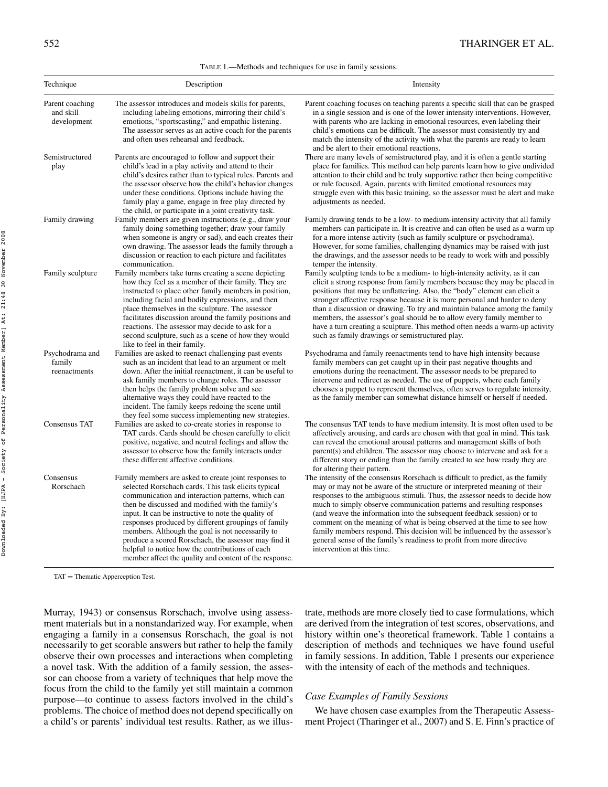#### TABLE 1.—Methods and techniques for use in family sessions.

| Technique                                   | Description                                                                                                                                                                                                                                                                                                                                                                                                                                                                                                                                                  | Intensity                                                                                                                                                                                                                                                                                                                                                                                                                                                                                                                                                                                                                                                    |
|---------------------------------------------|--------------------------------------------------------------------------------------------------------------------------------------------------------------------------------------------------------------------------------------------------------------------------------------------------------------------------------------------------------------------------------------------------------------------------------------------------------------------------------------------------------------------------------------------------------------|--------------------------------------------------------------------------------------------------------------------------------------------------------------------------------------------------------------------------------------------------------------------------------------------------------------------------------------------------------------------------------------------------------------------------------------------------------------------------------------------------------------------------------------------------------------------------------------------------------------------------------------------------------------|
| Parent coaching<br>and skill<br>development | The assessor introduces and models skills for parents,<br>including labeling emotions, mirroring their child's<br>emotions, "sportscasting," and empathic listening.<br>The assessor serves as an active coach for the parents<br>and often uses rehearsal and feedback.                                                                                                                                                                                                                                                                                     | Parent coaching focuses on teaching parents a specific skill that can be grasped<br>in a single session and is one of the lower intensity interventions. However,<br>with parents who are lacking in emotional resources, even labeling their<br>child's emotions can be difficult. The assessor must consistently try and<br>match the intensity of the activity with what the parents are ready to learn                                                                                                                                                                                                                                                   |
| Semistructured<br>play                      | Parents are encouraged to follow and support their<br>child's lead in a play activity and attend to their<br>child's desires rather than to typical rules. Parents and<br>the assessor observe how the child's behavior changes<br>under these conditions. Options include having the<br>family play a game, engage in free play directed by<br>the child, or participate in a joint creativity task.                                                                                                                                                        | and be alert to their emotional reactions.<br>There are many levels of semistructured play, and it is often a gentle starting<br>place for families. This method can help parents learn how to give undivided<br>attention to their child and be truly supportive rather then being competitive<br>or rule focused. Again, parents with limited emotional resources may<br>struggle even with this basic training, so the assessor must be alert and make<br>adjustments as needed.                                                                                                                                                                          |
| Family drawing                              | Family members are given instructions (e.g., draw your<br>family doing something together; draw your family<br>when someone is angry or sad), and each creates their<br>own drawing. The assessor leads the family through a<br>discussion or reaction to each picture and facilitates<br>communication.                                                                                                                                                                                                                                                     | Family drawing tends to be a low- to medium-intensity activity that all family<br>members can participate in. It is creative and can often be used as a warm up<br>for a more intense activity (such as family sculpture or psychodrama).<br>However, for some families, challenging dynamics may be raised with just<br>the drawings, and the assessor needs to be ready to work with and possibly<br>temper the intensity.                                                                                                                                                                                                                                 |
| Family sculpture                            | Family members take turns creating a scene depicting<br>how they feel as a member of their family. They are<br>instructed to place other family members in position,<br>including facial and bodily expressions, and then<br>place themselves in the sculpture. The assessor<br>facilitates discussion around the family positions and<br>reactions. The assessor may decide to ask for a<br>second sculpture, such as a scene of how they would<br>like to feel in their family.                                                                            | Family sculpting tends to be a medium- to high-intensity activity, as it can<br>elicit a strong response from family members because they may be placed in<br>positions that may be unflattering. Also, the "body" element can elicit a<br>stronger affective response because it is more personal and harder to deny<br>than a discussion or drawing. To try and maintain balance among the family<br>members, the assessor's goal should be to allow every family member to<br>have a turn creating a sculpture. This method often needs a warm-up activity<br>such as family drawings or semistructured play.                                             |
| Psychodrama and<br>family<br>reenactments   | Families are asked to reenact challenging past events<br>such as an incident that lead to an argument or melt<br>down. After the initial reenactment, it can be useful to<br>ask family members to change roles. The assessor<br>then helps the family problem solve and see<br>alternative ways they could have reacted to the<br>incident. The family keeps redoing the scene until<br>they feel some success implementing new strategies.                                                                                                                 | Psychodrama and family reenactments tend to have high intensity because<br>family members can get caught up in their past negative thoughts and<br>emotions during the reenactment. The assessor needs to be prepared to<br>intervene and redirect as needed. The use of puppets, where each family<br>chooses a puppet to represent themselves, often serves to regulate intensity,<br>as the family member can somewhat distance himself or herself if needed.                                                                                                                                                                                             |
| Consensus TAT                               | Families are asked to co-create stories in response to<br>TAT cards. Cards should be chosen carefully to elicit<br>positive, negative, and neutral feelings and allow the<br>assessor to observe how the family interacts under<br>these different affective conditions.                                                                                                                                                                                                                                                                                     | The consensus TAT tends to have medium intensity. It is most often used to be<br>affectively arousing, and cards are chosen with that goal in mind. This task<br>can reveal the emotional arousal patterns and management skills of both<br>parent(s) and children. The assessor may choose to intervene and ask for a<br>different story or ending than the family created to see how ready they are<br>for altering their pattern.                                                                                                                                                                                                                         |
| Consensus<br>Rorschach                      | Family members are asked to create joint responses to<br>selected Rorschach cards. This task elicits typical<br>communication and interaction patterns, which can<br>then be discussed and modified with the family's<br>input. It can be instructive to note the quality of<br>responses produced by different groupings of family<br>members. Although the goal is not necessarily to<br>produce a scored Rorschach, the assessor may find it<br>helpful to notice how the contributions of each<br>member affect the quality and content of the response. | The intensity of the consensus Rorschach is difficult to predict, as the family<br>may or may not be aware of the structure or interpreted meaning of their<br>responses to the ambiguous stimuli. Thus, the assessor needs to decide how<br>much to simply observe communication patterns and resulting responses<br>(and weave the information into the subsequent feedback session) or to<br>comment on the meaning of what is being observed at the time to see how<br>family members respond. This decision will be influenced by the assessor's<br>general sense of the family's readiness to profit from more directive<br>intervention at this time. |

TAT = Thematic Apperception Test.

Murray, 1943) or consensus Rorschach, involve using assessment materials but in a nonstandarized way. For example, when engaging a family in a consensus Rorschach, the goal is not necessarily to get scorable answers but rather to help the family observe their own processes and interactions when completing a novel task. With the addition of a family session, the assessor can choose from a variety of techniques that help move the focus from the child to the family yet still maintain a common purpose—to continue to assess factors involved in the child's problems. The choice of method does not depend specifically on a child's or parents' individual test results. Rather, as we illustrate, methods are more closely tied to case formulations, which are derived from the integration of test scores, observations, and history within one's theoretical framework. Table 1 contains a description of methods and techniques we have found useful in family sessions. In addition, Table 1 presents our experience with the intensity of each of the methods and techniques.

# *Case Examples of Family Sessions*

We have chosen case examples from the Therapeutic Assessment Project (Tharinger et al., 2007) and S. E. Finn's practice of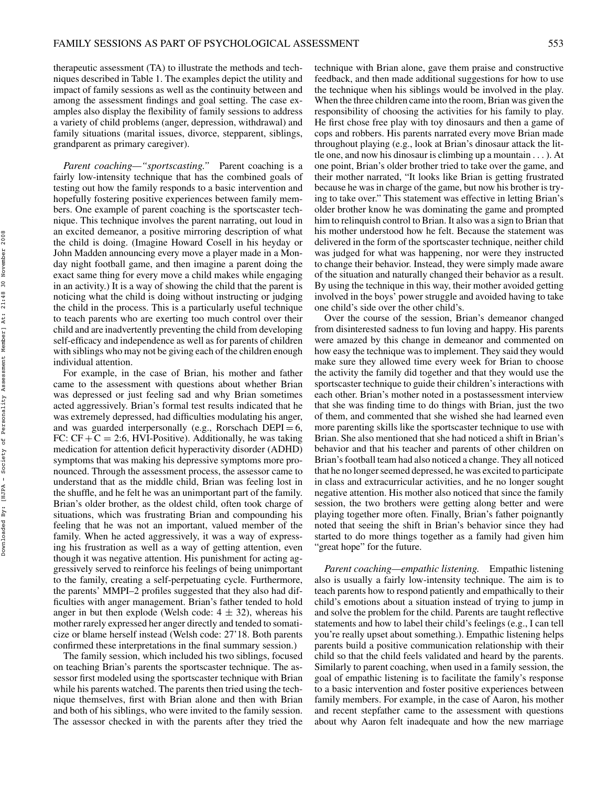therapeutic assessment (TA) to illustrate the methods and techniques described in Table 1. The examples depict the utility and impact of family sessions as well as the continuity between and among the assessment findings and goal setting. The case examples also display the flexibility of family sessions to address a variety of child problems (anger, depression, withdrawal) and family situations (marital issues, divorce, stepparent, siblings, grandparent as primary caregiver).

*Parent coaching—"sportscasting."* Parent coaching is a fairly low-intensity technique that has the combined goals of testing out how the family responds to a basic intervention and hopefully fostering positive experiences between family members. One example of parent coaching is the sportscaster technique. This technique involves the parent narrating, out loud in an excited demeanor, a positive mirroring description of what the child is doing. (Imagine Howard Cosell in his heyday or John Madden announcing every move a player made in a Monday night football game, and then imagine a parent doing the exact same thing for every move a child makes while engaging in an activity.) It is a way of showing the child that the parent is noticing what the child is doing without instructing or judging the child in the process. This is a particularly useful technique to teach parents who are exerting too much control over their child and are inadvertently preventing the child from developing self-efficacy and independence as well as for parents of children with siblings who may not be giving each of the children enough individual attention.

For example, in the case of Brian, his mother and father came to the assessment with questions about whether Brian was depressed or just feeling sad and why Brian sometimes acted aggressively. Brian's formal test results indicated that he was extremely depressed, had difficulties modulating his anger, and was guarded interpersonally (e.g., Rorschach  $DEPI = 6$ , FC:  $CF + C = 2:6$ , HVI-Positive). Additionally, he was taking medication for attention deficit hyperactivity disorder (ADHD) symptoms that was making his depressive symptoms more pronounced. Through the assessment process, the assessor came to understand that as the middle child, Brian was feeling lost in the shuffle, and he felt he was an unimportant part of the family. Brian's older brother, as the oldest child, often took charge of situations, which was frustrating Brian and compounding his feeling that he was not an important, valued member of the family. When he acted aggressively, it was a way of expressing his frustration as well as a way of getting attention, even though it was negative attention. His punishment for acting aggressively served to reinforce his feelings of being unimportant to the family, creating a self-perpetuating cycle. Furthermore, the parents' MMPI–2 profiles suggested that they also had difficulties with anger management. Brian's father tended to hold anger in but then explode (Welsh code:  $4 \pm 32$ ), whereas his mother rarely expressed her anger directly and tended to somaticize or blame herself instead (Welsh code: 27'18. Both parents confirmed these interpretations in the final summary session.)

The family session, which included his two siblings, focused on teaching Brian's parents the sportscaster technique. The assessor first modeled using the sportscaster technique with Brian while his parents watched. The parents then tried using the technique themselves, first with Brian alone and then with Brian and both of his siblings, who were invited to the family session. The assessor checked in with the parents after they tried the

technique with Brian alone, gave them praise and constructive feedback, and then made additional suggestions for how to use the technique when his siblings would be involved in the play. When the three children came into the room, Brian was given the responsibility of choosing the activities for his family to play. He first chose free play with toy dinosaurs and then a game of cops and robbers. His parents narrated every move Brian made throughout playing (e.g., look at Brian's dinosaur attack the little one, and now his dinosaur is climbing up a mountain . . . ). At one point, Brian's older brother tried to take over the game, and their mother narrated, "It looks like Brian is getting frustrated because he was in charge of the game, but now his brother is trying to take over." This statement was effective in letting Brian's older brother know he was dominating the game and prompted him to relinquish control to Brian. It also was a sign to Brian that his mother understood how he felt. Because the statement was delivered in the form of the sportscaster technique, neither child was judged for what was happening, nor were they instructed to change their behavior. Instead, they were simply made aware of the situation and naturally changed their behavior as a result. By using the technique in this way, their mother avoided getting involved in the boys' power struggle and avoided having to take one child's side over the other child's.

Over the course of the session, Brian's demeanor changed from disinterested sadness to fun loving and happy. His parents were amazed by this change in demeanor and commented on how easy the technique wasto implement. They said they would make sure they allowed time every week for Brian to choose the activity the family did together and that they would use the sportscaster technique to guide their children's interactions with each other. Brian's mother noted in a postassessment interview that she was finding time to do things with Brian, just the two of them, and commented that she wished she had learned even more parenting skills like the sportscaster technique to use with Brian. She also mentioned that she had noticed a shift in Brian's behavior and that his teacher and parents of other children on Brian's football team had also noticed a change. They all noticed that he no longer seemed depressed, he was excited to participate in class and extracurricular activities, and he no longer sought negative attention. His mother also noticed that since the family session, the two brothers were getting along better and were playing together more often. Finally, Brian's father poignantly noted that seeing the shift in Brian's behavior since they had started to do more things together as a family had given him "great hope" for the future.

*Parent coaching—empathic listening.* Empathic listening also is usually a fairly low-intensity technique. The aim is to teach parents how to respond patiently and empathically to their child's emotions about a situation instead of trying to jump in and solve the problem for the child. Parents are taught reflective statements and how to label their child's feelings (e.g., I can tell you're really upset about something.). Empathic listening helps parents build a positive communication relationship with their child so that the child feels validated and heard by the parents. Similarly to parent coaching, when used in a family session, the goal of empathic listening is to facilitate the family's response to a basic intervention and foster positive experiences between family members. For example, in the case of Aaron, his mother and recent stepfather came to the assessment with questions about why Aaron felt inadequate and how the new marriage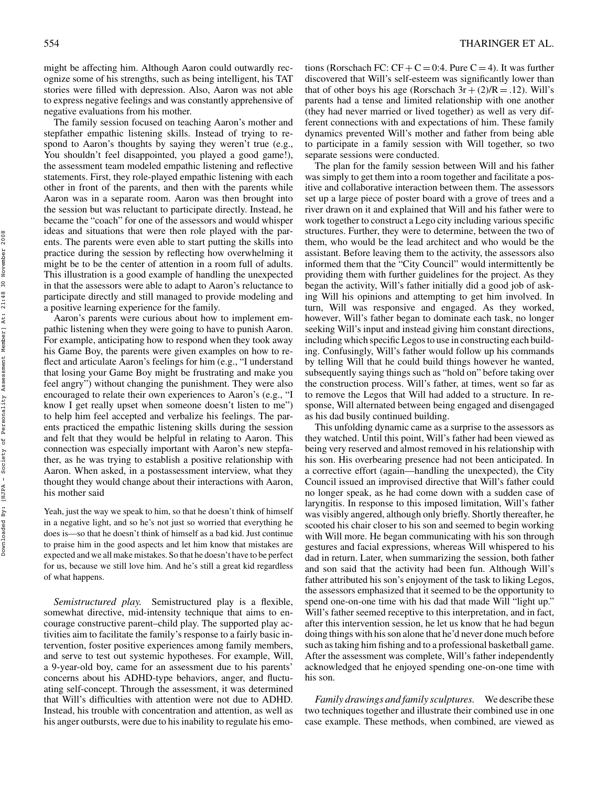might be affecting him. Although Aaron could outwardly recognize some of his strengths, such as being intelligent, his TAT stories were filled with depression. Also, Aaron was not able to express negative feelings and was constantly apprehensive of negative evaluations from his mother.

The family session focused on teaching Aaron's mother and stepfather empathic listening skills. Instead of trying to respond to Aaron's thoughts by saying they weren't true (e.g., You shouldn't feel disappointed, you played a good game!), the assessment team modeled empathic listening and reflective statements. First, they role-played empathic listening with each other in front of the parents, and then with the parents while Aaron was in a separate room. Aaron was then brought into the session but was reluctant to participate directly. Instead, he became the "coach" for one of the assessors and would whisper ideas and situations that were then role played with the parents. The parents were even able to start putting the skills into practice during the session by reflecting how overwhelming it might be to be the center of attention in a room full of adults. This illustration is a good example of handling the unexpected in that the assessors were able to adapt to Aaron's reluctance to participate directly and still managed to provide modeling and a positive learning experience for the family.

Aaron's parents were curious about how to implement empathic listening when they were going to have to punish Aaron. For example, anticipating how to respond when they took away his Game Boy, the parents were given examples on how to reflect and articulate Aaron's feelings for him (e.g., "I understand that losing your Game Boy might be frustrating and make you feel angry") without changing the punishment. They were also encouraged to relate their own experiences to Aaron's (e.g., "I know I get really upset when someone doesn't listen to me") to help him feel accepted and verbalize his feelings. The parents practiced the empathic listening skills during the session and felt that they would be helpful in relating to Aaron. This connection was especially important with Aaron's new stepfather, as he was trying to establish a positive relationship with Aaron. When asked, in a postassessment interview, what they thought they would change about their interactions with Aaron, his mother said

Yeah, just the way we speak to him, so that he doesn't think of himself in a negative light, and so he's not just so worried that everything he does is—so that he doesn't think of himself as a bad kid. Just continue to praise him in the good aspects and let him know that mistakes are expected and we all make mistakes. So that he doesn't have to be perfect for us, because we still love him. And he's still a great kid regardless of what happens.

*Semistructured play.* Semistructured play is a flexible, somewhat directive, mid-intensity technique that aims to encourage constructive parent–child play. The supported play activities aim to facilitate the family's response to a fairly basic intervention, foster positive experiences among family members, and serve to test out systemic hypotheses. For example, Will, a 9-year-old boy, came for an assessment due to his parents' concerns about his ADHD-type behaviors, anger, and fluctuating self-concept. Through the assessment, it was determined that Will's difficulties with attention were not due to ADHD. Instead, his trouble with concentration and attention, as well as his anger outbursts, were due to his inability to regulate his emotions (Rorschach FC:  $CF + C = 0.4$ . Pure  $C = 4$ ). It was further discovered that Will's self-esteem was significantly lower than that of other boys his age (Rorschach  $3r + (2)/R = .12$ ). Will's parents had a tense and limited relationship with one another (they had never married or lived together) as well as very different connections with and expectations of him. These family dynamics prevented Will's mother and father from being able to participate in a family session with Will together, so two separate sessions were conducted.

The plan for the family session between Will and his father was simply to get them into a room together and facilitate a positive and collaborative interaction between them. The assessors set up a large piece of poster board with a grove of trees and a river drawn on it and explained that Will and his father were to work together to construct a Lego city including various specific structures. Further, they were to determine, between the two of them, who would be the lead architect and who would be the assistant. Before leaving them to the activity, the assessors also informed them that the "City Council" would intermittently be providing them with further guidelines for the project. As they began the activity, Will's father initially did a good job of asking Will his opinions and attempting to get him involved. In turn, Will was responsive and engaged. As they worked, however, Will's father began to dominate each task, no longer seeking Will's input and instead giving him constant directions, including which specific Legos to use in constructing each building. Confusingly, Will's father would follow up his commands by telling Will that he could build things however he wanted, subsequently saying things such as "hold on" before taking over the construction process. Will's father, at times, went so far as to remove the Legos that Will had added to a structure. In response, Will alternated between being engaged and disengaged as his dad busily continued building.

This unfolding dynamic came as a surprise to the assessors as they watched. Until this point, Will's father had been viewed as being very reserved and almost removed in his relationship with his son. His overbearing presence had not been anticipated. In a corrective effort (again—handling the unexpected), the City Council issued an improvised directive that Will's father could no longer speak, as he had come down with a sudden case of laryngitis. In response to this imposed limitation, Will's father was visibly angered, although only briefly. Shortly thereafter, he scooted his chair closer to his son and seemed to begin working with Will more. He began communicating with his son through gestures and facial expressions, whereas Will whispered to his dad in return. Later, when summarizing the session, both father and son said that the activity had been fun. Although Will's father attributed his son's enjoyment of the task to liking Legos, the assessors emphasized that it seemed to be the opportunity to spend one-on-one time with his dad that made Will "light up." Will's father seemed receptive to this interpretation, and in fact, after this intervention session, he let us know that he had begun doing things with hisson alone that he'd never done much before such astaking him fishing and to a professional basketball game. After the assessment was complete, Will's father independently acknowledged that he enjoyed spending one-on-one time with his son.

*Family drawings and family sculptures.* We describe these two techniques together and illustrate their combined use in one case example. These methods, when combined, are viewed as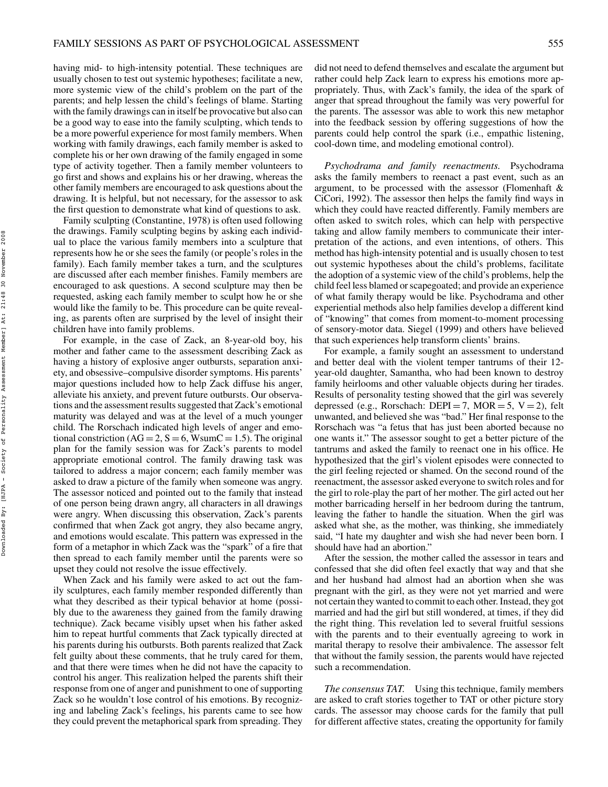having mid- to high-intensity potential. These techniques are usually chosen to test out systemic hypotheses; facilitate a new, more systemic view of the child's problem on the part of the parents; and help lessen the child's feelings of blame. Starting with the family drawings can in itself be provocative but also can be a good way to ease into the family sculpting, which tends to be a more powerful experience for most family members. When working with family drawings, each family member is asked to complete his or her own drawing of the family engaged in some type of activity together. Then a family member volunteers to go first and shows and explains his or her drawing, whereas the other family members are encouraged to ask questions about the drawing. It is helpful, but not necessary, for the assessor to ask the first question to demonstrate what kind of questions to ask.

Family sculpting (Constantine, 1978) is often used following the drawings. Family sculpting begins by asking each individual to place the various family members into a sculpture that represents how he or she sees the family (or people's roles in the family). Each family member takes a turn, and the sculptures are discussed after each member finishes. Family members are encouraged to ask questions. A second sculpture may then be requested, asking each family member to sculpt how he or she would like the family to be. This procedure can be quite revealing, as parents often are surprised by the level of insight their children have into family problems.

For example, in the case of Zack, an 8-year-old boy, his mother and father came to the assessment describing Zack as having a history of explosive anger outbursts, separation anxiety, and obsessive–compulsive disorder symptoms. His parents' major questions included how to help Zack diffuse his anger, alleviate his anxiety, and prevent future outbursts. Our observations and the assessment results suggested that Zack's emotional maturity was delayed and was at the level of a much younger child. The Rorschach indicated high levels of anger and emotional constriction ( $AG = 2$ ,  $S = 6$ , WsumC = 1.5). The original plan for the family session was for Zack's parents to model appropriate emotional control. The family drawing task was tailored to address a major concern; each family member was asked to draw a picture of the family when someone was angry. The assessor noticed and pointed out to the family that instead of one person being drawn angry, all characters in all drawings were angry. When discussing this observation, Zack's parents confirmed that when Zack got angry, they also became angry, and emotions would escalate. This pattern was expressed in the form of a metaphor in which Zack was the "spark" of a fire that then spread to each family member until the parents were so upset they could not resolve the issue effectively.

When Zack and his family were asked to act out the family sculptures, each family member responded differently than what they described as their typical behavior at home (possibly due to the awareness they gained from the family drawing technique). Zack became visibly upset when his father asked him to repeat hurtful comments that Zack typically directed at his parents during his outbursts. Both parents realized that Zack felt guilty about these comments, that he truly cared for them, and that there were times when he did not have the capacity to control his anger. This realization helped the parents shift their response from one of anger and punishment to one of supporting Zack so he wouldn't lose control of his emotions. By recognizing and labeling Zack's feelings, his parents came to see how they could prevent the metaphorical spark from spreading. They

did not need to defend themselves and escalate the argument but rather could help Zack learn to express his emotions more appropriately. Thus, with Zack's family, the idea of the spark of anger that spread throughout the family was very powerful for the parents. The assessor was able to work this new metaphor into the feedback session by offering suggestions of how the parents could help control the spark (i.e., empathic listening, cool-down time, and modeling emotional control).

*Psychodrama and family reenactments.* Psychodrama asks the family members to reenact a past event, such as an argument, to be processed with the assessor (Flomenhaft & CiCori, 1992). The assessor then helps the family find ways in which they could have reacted differently. Family members are often asked to switch roles, which can help with perspective taking and allow family members to communicate their interpretation of the actions, and even intentions, of others. This method has high-intensity potential and is usually chosen to test out systemic hypotheses about the child's problems, facilitate the adoption of a systemic view of the child's problems, help the child feel less blamed or scapegoated; and provide an experience of what family therapy would be like. Psychodrama and other experiential methods also help families develop a different kind of "knowing" that comes from moment-to-moment processing of sensory-motor data. Siegel (1999) and others have believed that such experiences help transform clients' brains.

For example, a family sought an assessment to understand and better deal with the violent temper tantrums of their 12 year-old daughter, Samantha, who had been known to destroy family heirlooms and other valuable objects during her tirades. Results of personality testing showed that the girl was severely depressed (e.g., Rorschach: DEPI = 7, MOR = 5,  $V = 2$ ), felt unwanted, and believed she was "bad." Her final response to the Rorschach was "a fetus that has just been aborted because no one wants it." The assessor sought to get a better picture of the tantrums and asked the family to reenact one in his office. He hypothesized that the girl's violent episodes were connected to the girl feeling rejected or shamed. On the second round of the reenactment, the assessor asked everyone to switch roles and for the girl to role-play the part of her mother. The girl acted out her mother barricading herself in her bedroom during the tantrum, leaving the father to handle the situation. When the girl was asked what she, as the mother, was thinking, she immediately said, "I hate my daughter and wish she had never been born. I should have had an abortion."

After the session, the mother called the assessor in tears and confessed that she did often feel exactly that way and that she and her husband had almost had an abortion when she was pregnant with the girl, as they were not yet married and were not certain they wanted to commit to each other.Instead, they got married and had the girl but still wondered, at times, if they did the right thing. This revelation led to several fruitful sessions with the parents and to their eventually agreeing to work in marital therapy to resolve their ambivalence. The assessor felt that without the family session, the parents would have rejected such a recommendation.

*The consensus TAT.* Using this technique, family members are asked to craft stories together to TAT or other picture story cards. The assessor may choose cards for the family that pull for different affective states, creating the opportunity for family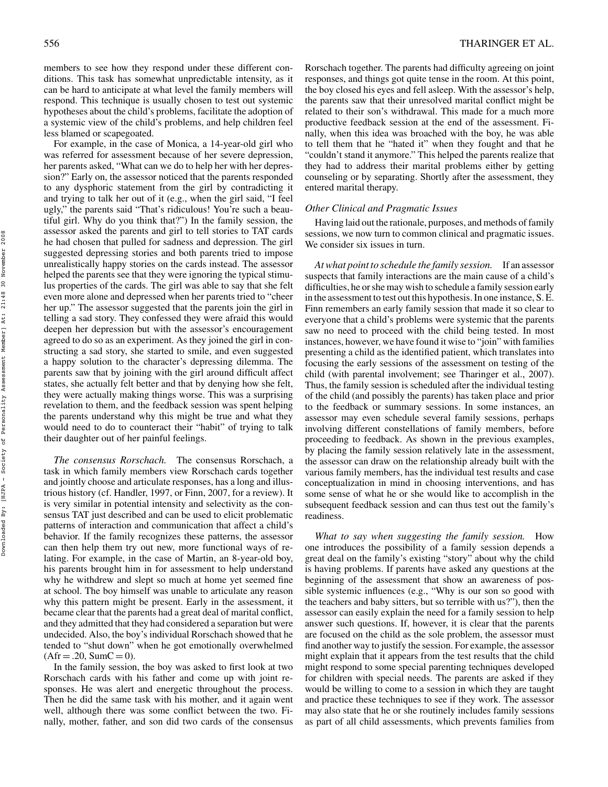members to see how they respond under these different conditions. This task has somewhat unpredictable intensity, as it can be hard to anticipate at what level the family members will respond. This technique is usually chosen to test out systemic hypotheses about the child's problems, facilitate the adoption of a systemic view of the child's problems, and help children feel less blamed or scapegoated.

For example, in the case of Monica, a 14-year-old girl who was referred for assessment because of her severe depression, her parents asked, "What can we do to help her with her depression?" Early on, the assessor noticed that the parents responded to any dysphoric statement from the girl by contradicting it and trying to talk her out of it (e.g., when the girl said, "I feel ugly," the parents said "That's ridiculous! You're such a beautiful girl. Why do you think that?") In the family session, the assessor asked the parents and girl to tell stories to TAT cards he had chosen that pulled for sadness and depression. The girl suggested depressing stories and both parents tried to impose unrealistically happy stories on the cards instead. The assessor helped the parents see that they were ignoring the typical stimulus properties of the cards. The girl was able to say that she felt even more alone and depressed when her parents tried to "cheer her up." The assessor suggested that the parents join the girl in telling a sad story. They confessed they were afraid this would deepen her depression but with the assessor's encouragement agreed to do so as an experiment. As they joined the girl in constructing a sad story, she started to smile, and even suggested a happy solution to the character's depressing dilemma. The parents saw that by joining with the girl around difficult affect states, she actually felt better and that by denying how she felt, they were actually making things worse. This was a surprising revelation to them, and the feedback session was spent helping the parents understand why this might be true and what they would need to do to counteract their "habit" of trying to talk their daughter out of her painful feelings.

*The consensus Rorschach.* The consensus Rorschach, a task in which family members view Rorschach cards together and jointly choose and articulate responses, has a long and illustrious history (cf. Handler, 1997, or Finn, 2007, for a review). It is very similar in potential intensity and selectivity as the consensus TAT just described and can be used to elicit problematic patterns of interaction and communication that affect a child's behavior. If the family recognizes these patterns, the assessor can then help them try out new, more functional ways of relating. For example, in the case of Martin, an 8-year-old boy, his parents brought him in for assessment to help understand why he withdrew and slept so much at home yet seemed fine at school. The boy himself was unable to articulate any reason why this pattern might be present. Early in the assessment, it became clear that the parents had a great deal of marital conflict, and they admitted that they had considered a separation but were undecided. Also, the boy's individual Rorschach showed that he tended to "shut down" when he got emotionally overwhelmed  $(Afr = .20, SumC = 0).$ 

In the family session, the boy was asked to first look at two Rorschach cards with his father and come up with joint responses. He was alert and energetic throughout the process. Then he did the same task with his mother, and it again went well, although there was some conflict between the two. Finally, mother, father, and son did two cards of the consensus Rorschach together. The parents had difficulty agreeing on joint responses, and things got quite tense in the room. At this point, the boy closed his eyes and fell asleep. With the assessor's help, the parents saw that their unresolved marital conflict might be related to their son's withdrawal. This made for a much more productive feedback session at the end of the assessment. Finally, when this idea was broached with the boy, he was able to tell them that he "hated it" when they fought and that he "couldn't stand it anymore." This helped the parents realize that they had to address their marital problems either by getting counseling or by separating. Shortly after the assessment, they entered marital therapy.

# *Other Clinical and Pragmatic Issues*

Having laid out the rationale, purposes, and methods of family sessions, we now turn to common clinical and pragmatic issues. We consider six issues in turn.

*Atwhat point to schedule the family session.* If an assessor suspects that family interactions are the main cause of a child's difficulties, he orshe may wish to schedule a family session early in the assessment to test out this hypothesis. In one instance, S. E. Finn remembers an early family session that made it so clear to everyone that a child's problems were systemic that the parents saw no need to proceed with the child being tested. In most instances, however, we have found it wise to "join" with families presenting a child as the identified patient, which translates into focusing the early sessions of the assessment on testing of the child (with parental involvement; see Tharinger et al., 2007). Thus, the family session is scheduled after the individual testing of the child (and possibly the parents) has taken place and prior to the feedback or summary sessions. In some instances, an assessor may even schedule several family sessions, perhaps involving different constellations of family members, before proceeding to feedback. As shown in the previous examples, by placing the family session relatively late in the assessment, the assessor can draw on the relationship already built with the various family members, has the individual test results and case conceptualization in mind in choosing interventions, and has some sense of what he or she would like to accomplish in the subsequent feedback session and can thus test out the family's readiness.

*What to say when suggesting the family session.* How one introduces the possibility of a family session depends a great deal on the family's existing "story" about why the child is having problems. If parents have asked any questions at the beginning of the assessment that show an awareness of possible systemic influences (e.g., "Why is our son so good with the teachers and baby sitters, but so terrible with us?"), then the assessor can easily explain the need for a family session to help answer such questions. If, however, it is clear that the parents are focused on the child as the sole problem, the assessor must find another way to justify the session. For example, the assessor might explain that it appears from the test results that the child might respond to some special parenting techniques developed for children with special needs. The parents are asked if they would be willing to come to a session in which they are taught and practice these techniques to see if they work. The assessor may also state that he or she routinely includes family sessions as part of all child assessments, which prevents families from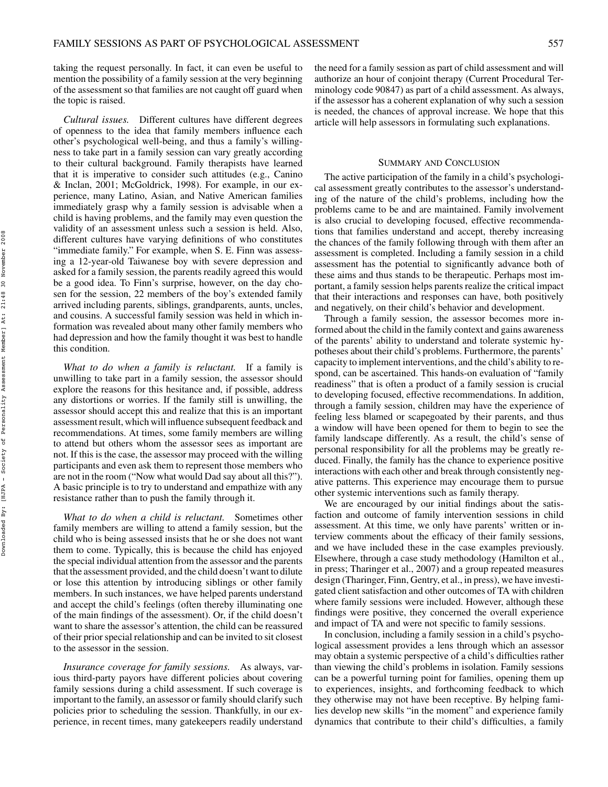taking the request personally. In fact, it can even be useful to mention the possibility of a family session at the very beginning of the assessment so that families are not caught off guard when the topic is raised.

*Cultural issues.* Different cultures have different degrees of openness to the idea that family members influence each other's psychological well-being, and thus a family's willingness to take part in a family session can vary greatly according to their cultural background. Family therapists have learned that it is imperative to consider such attitudes (e.g., Canino & Inclan, 2001; McGoldrick, 1998). For example, in our experience, many Latino, Asian, and Native American families immediately grasp why a family session is advisable when a child is having problems, and the family may even question the validity of an assessment unless such a session is held. Also, different cultures have varying definitions of who constitutes "immediate family." For example, when S. E. Finn was assessing a 12-year-old Taiwanese boy with severe depression and asked for a family session, the parents readily agreed this would be a good idea. To Finn's surprise, however, on the day chosen for the session, 22 members of the boy's extended family arrived including parents, siblings, grandparents, aunts, uncles, and cousins. A successful family session was held in which information was revealed about many other family members who had depression and how the family thought it was best to handle this condition.

*What to do when a family is reluctant.* If a family is unwilling to take part in a family session, the assessor should explore the reasons for this hesitance and, if possible, address any distortions or worries. If the family still is unwilling, the assessor should accept this and realize that this is an important assessment result, which will influence subsequent feedback and recommendations. At times, some family members are willing to attend but others whom the assessor sees as important are not. If this is the case, the assessor may proceed with the willing participants and even ask them to represent those members who are not in the room ("Now what would Dad say about all this?"). A basic principle is to try to understand and empathize with any resistance rather than to push the family through it.

*What to do when a child is reluctant.* Sometimes other family members are willing to attend a family session, but the child who is being assessed insists that he or she does not want them to come. Typically, this is because the child has enjoyed the special individual attention from the assessor and the parents that the assessment provided, and the child doesn't want to dilute or lose this attention by introducing siblings or other family members. In such instances, we have helped parents understand and accept the child's feelings (often thereby illuminating one of the main findings of the assessment). Or, if the child doesn't want to share the assessor's attention, the child can be reassured of their priorspecial relationship and can be invited to sit closest to the assessor in the session.

*Insurance coverage for family sessions.* As always, various third-party payors have different policies about covering family sessions during a child assessment. If such coverage is important to the family, an assessor or family should clarify such policies prior to scheduling the session. Thankfully, in our experience, in recent times, many gatekeepers readily understand the need for a family session as part of child assessment and will authorize an hour of conjoint therapy (Current Procedural Terminology code 90847) as part of a child assessment. As always, if the assessor has a coherent explanation of why such a session is needed, the chances of approval increase. We hope that this article will help assessors in formulating such explanations.

#### SUMMARY AND CONCLUSION

The active participation of the family in a child's psychological assessment greatly contributes to the assessor's understanding of the nature of the child's problems, including how the problems came to be and are maintained. Family involvement is also crucial to developing focused, effective recommendations that families understand and accept, thereby increasing the chances of the family following through with them after an assessment is completed. Including a family session in a child assessment has the potential to significantly advance both of these aims and thus stands to be therapeutic. Perhaps most important, a family session helps parents realize the critical impact that their interactions and responses can have, both positively and negatively, on their child's behavior and development.

Through a family session, the assessor becomes more informed about the child in the family context and gains awareness of the parents' ability to understand and tolerate systemic hypotheses about their child's problems. Furthermore, the parents' capacity to implement interventions, and the child's ability to respond, can be ascertained. This hands-on evaluation of "family readiness" that is often a product of a family session is crucial to developing focused, effective recommendations. In addition, through a family session, children may have the experience of feeling less blamed or scapegoated by their parents, and thus a window will have been opened for them to begin to see the family landscape differently. As a result, the child's sense of personal responsibility for all the problems may be greatly reduced. Finally, the family has the chance to experience positive interactions with each other and break through consistently negative patterns. This experience may encourage them to pursue other systemic interventions such as family therapy.

We are encouraged by our initial findings about the satisfaction and outcome of family intervention sessions in child assessment. At this time, we only have parents' written or interview comments about the efficacy of their family sessions, and we have included these in the case examples previously. Elsewhere, through a case study methodology (Hamilton et al., in press; Tharinger et al., 2007) and a group repeated measures design (Tharinger, Finn, Gentry, et al., in press), we have investigated client satisfaction and other outcomes of TA with children where family sessions were included. However, although these findings were positive, they concerned the overall experience and impact of TA and were not specific to family sessions.

In conclusion, including a family session in a child's psychological assessment provides a lens through which an assessor may obtain a systemic perspective of a child's difficulties rather than viewing the child's problems in isolation. Family sessions can be a powerful turning point for families, opening them up to experiences, insights, and forthcoming feedback to which they otherwise may not have been receptive. By helping families develop new skills "in the moment" and experience family dynamics that contribute to their child's difficulties, a family